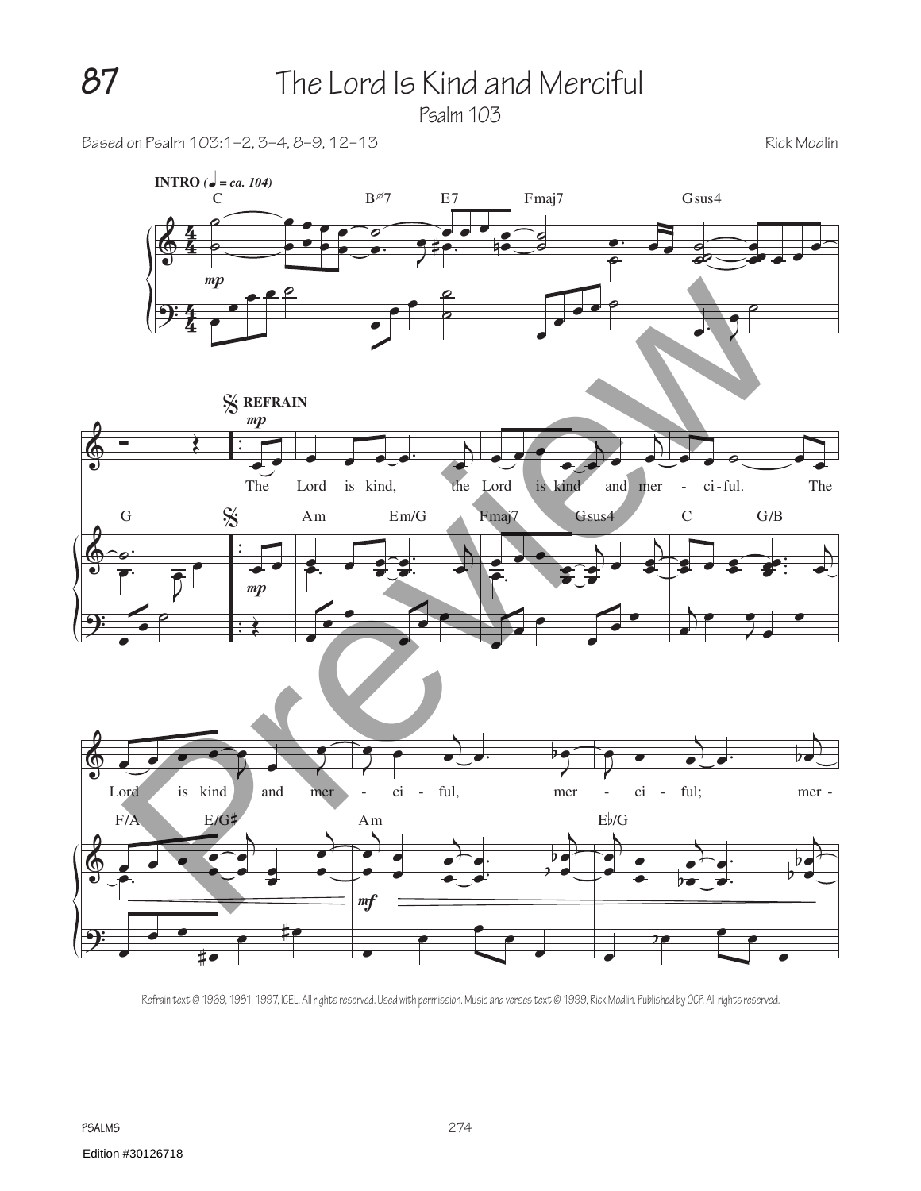## **87** The Lord Is Kind and Merciful

Psalm 103

Based on Psalm 103:1–2, 3–4, 8–9, 12–13 Rick Modlin



Refrain text © 1969, 1981, 1997, ICEL. All rights reserved. Used with permission. Music and verses text © 1999, Rick Modlin. Published by OCP. All rights reserved.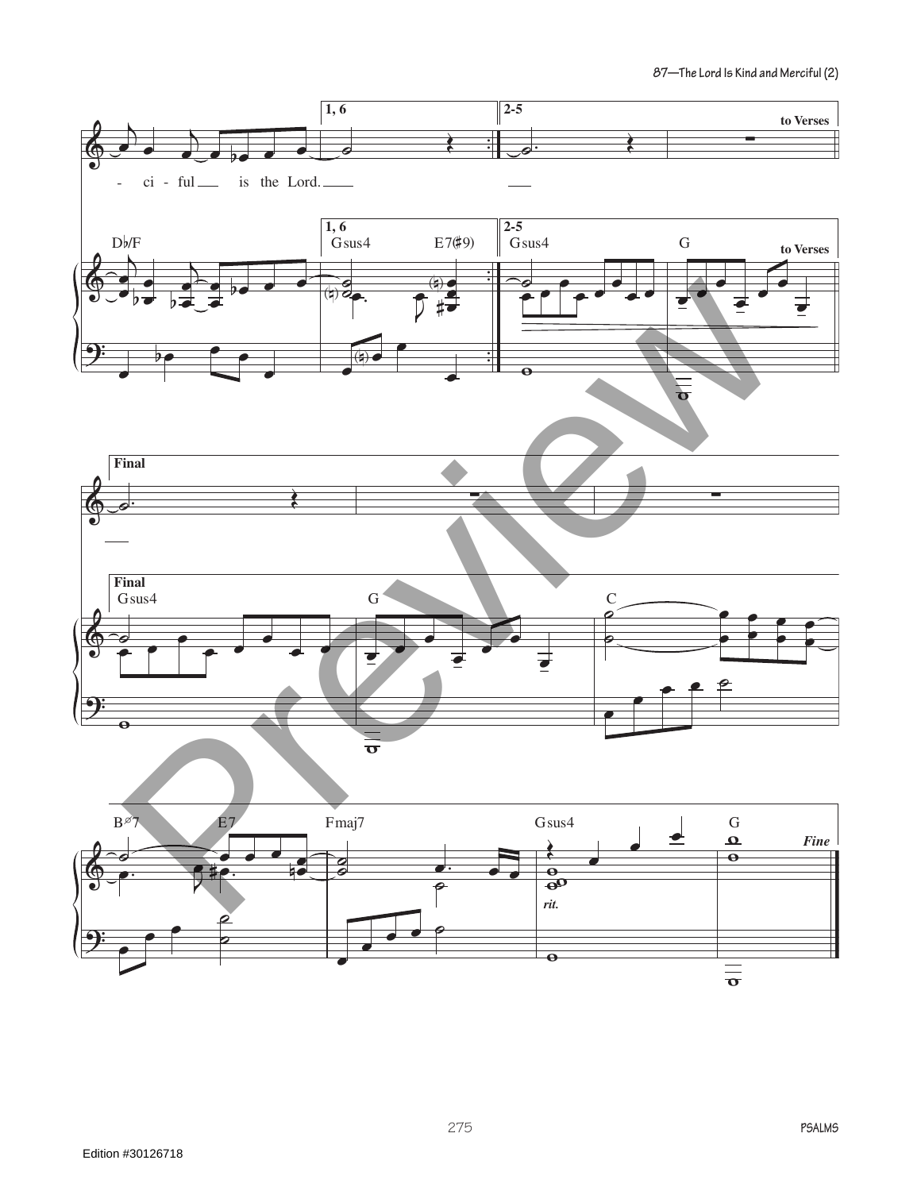**87—The Lord Is Kind and Merciful (2)**